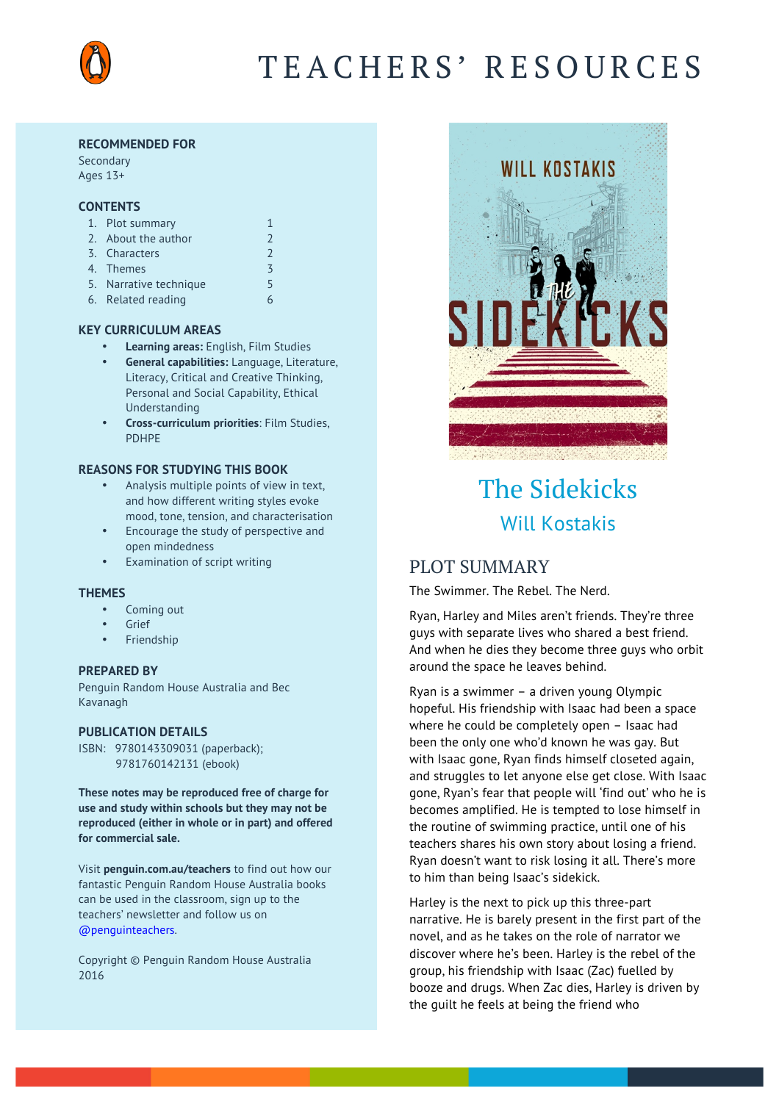

# TEACHERS' RESOURCES

#### **RECOMMENDED FOR**

Secondary Ages 13+

#### **CONTENTS**

| 1. Plot summary        |               |
|------------------------|---------------|
| 2. About the author    | $\mathcal{L}$ |
| 3. Characters          | $\mathcal{L}$ |
| 4. Themes              | 3             |
| 5. Narrative technique | 5             |
| 6. Related reading     |               |

- **KEY CURRICULUM AREAS**
	- **Learning areas:** English, Film Studies
	- **General capabilities:** Language, Literature, Literacy, Critical and Creative Thinking, Personal and Social Capability, Ethical Understanding
	- **Cross-curriculum priorities**: Film Studies, PDHPE

#### **REASONS FOR STUDYING THIS BOOK**

- Analysis multiple points of view in text, and how different writing styles evoke mood, tone, tension, and characterisation
- Encourage the study of perspective and open mindedness
- Examination of script writing

#### **THEMES**

- Coming out
- **Grief**
- **Friendship**

#### **PREPARED BY**

Penguin Random House Australia and Bec Kavanagh

#### **PUBLICATION DETAILS**

ISBN: 9780143309031 (paperback); 9781760142131 (ebook)

**These notes may be reproduced free of charge for use and study within schools but they may not be reproduced (either in whole or in part) and offered for commercial sale.** 

Visit **[penguin.com.au/teachers](http://www.penguin.com.au/teachers)** to find out how our fantastic Penguin Random House Australia books can be used in the classroom, sign up to the teachers' newsletter and follow us on [@penguinteachers](http://twitter.com/penguinteachers).

Copyright © Penguin Random House Australia 2016



# The Sidekicks Will Kostakis

# PLOT SUMMARY

The Swimmer. The Rebel. The Nerd.

Ryan, Harley and Miles aren't friends. They're three guys with separate lives who shared a best friend. And when he dies they become three guys who orbit around the space he leaves behind.

Ryan is a swimmer – a driven young Olympic hopeful. His friendship with Isaac had been a space where he could be completely open – Isaac had been the only one who'd known he was gay. But with Isaac gone, Ryan finds himself closeted again, and struggles to let anyone else get close. With Isaac gone, Ryan's fear that people will 'find out' who he is becomes amplified. He is tempted to lose himself in the routine of swimming practice, until one of his teachers shares his own story about losing a friend. Ryan doesn't want to risk losing it all. There's more to him than being Isaac's sidekick.

Harley is the next to pick up this three-part narrative. He is barely present in the first part of the novel, and as he takes on the role of narrator we discover where he's been. Harley is the rebel of the group, his friendship with Isaac (Zac) fuelled by booze and drugs. When Zac dies, Harley is driven by the guilt he feels at being the friend who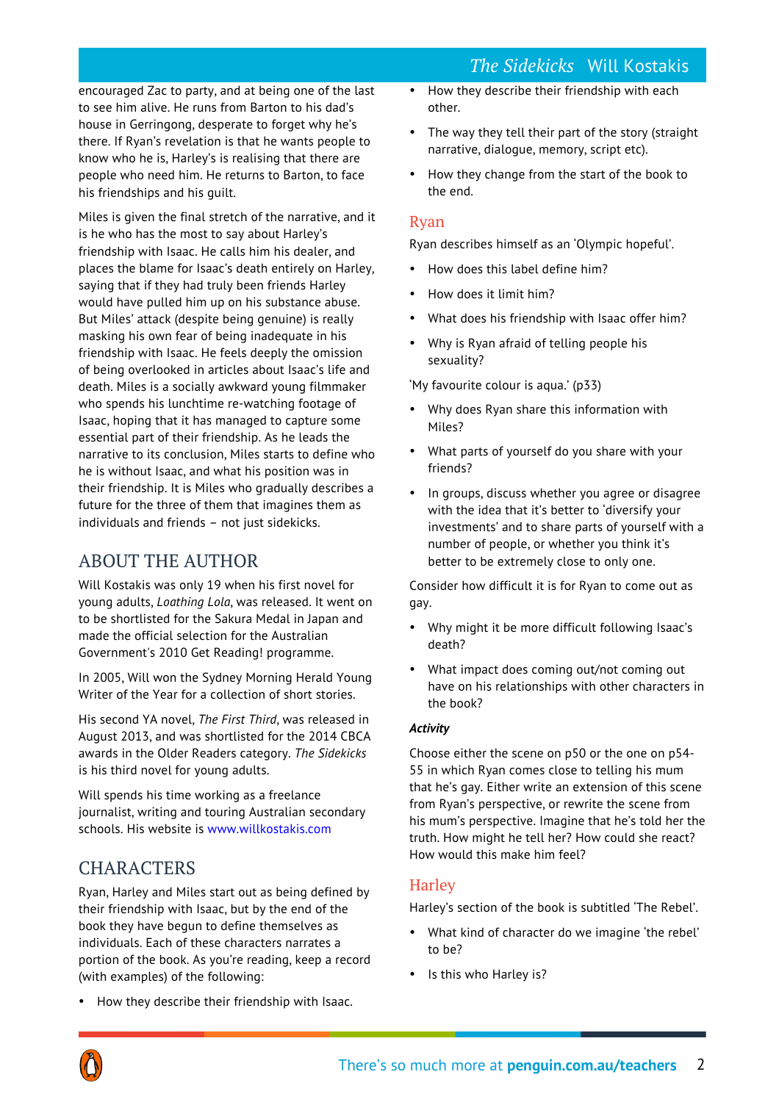*The Sidekicks* Will Kostakis

encouraged Zac to party, and at being one of the last to see him alive. He runs from Barton to his dad's house in Gerringong, desperate to forget why he's there. If Ryan's revelation is that he wants people to know who he is, Harley's is realising that there are people who need him. He returns to Barton, to face his friendships and his guilt.

Miles is given the final stretch of the narrative, and it is he who has the most to say about Harley's friendship with Isaac. He calls him his dealer, and places the blame for Isaac's death entirely on Harley, saying that if they had truly been friends Harley would have pulled him up on his substance abuse. But Miles' attack (despite being genuine) is really masking his own fear of being inadequate in his friendship with Isaac. He feels deeply the omission of being overlooked in articles about Isaac's life and death. Miles is a socially awkward young filmmaker who spends his lunchtime re-watching footage of Isaac, hoping that it has managed to capture some essential part of their friendship. As he leads the narrative to its conclusion, Miles starts to define who he is without Isaac, and what his position was in their friendship. It is Miles who gradually describes a future for the three of them that imagines them as individuals and friends – not just sidekicks.

# ABOUT THE AUTHOR

Will Kostakis was only 19 when his first novel for young adults, *Loathing Lola*, was released. It went on to be shortlisted for the Sakura Medal in Japan and made the official selection for the Australian Government's 2010 Get Reading! programme.

In 2005, Will won the Sydney Morning Herald Young Writer of the Year for a collection of short stories.

His second YA novel, *The First Third*, was released in August 2013, and was shortlisted for the 2014 CBCA awards in the Older Readers category. *The Sidekicks*  is his third novel for young adults.

Will spends his time working as a freelance journalist, writing and touring Australian secondary schools. His website is [www.willkostakis.com](http://www.willkostakis.com)

# **CHARACTERS**

Ryan, Harley and Miles start out as being defined by their friendship with Isaac, but by the end of the book they have begun to define themselves as individuals. Each of these characters narrates a portion of the book. As you're reading, keep a record (with examples) of the following:

• How they describe their friendship with Isaac.

- How they describe their friendship with each other.
- The way they tell their part of the story (straight narrative, dialogue, memory, script etc).
- How they change from the start of the book to the end.

## Ryan

Ryan describes himself as an 'Olympic hopeful'.

- How does this label define him?
- How does it limit him?
- What does his friendship with Isaac offer him?
- Why is Ryan afraid of telling people his sexuality?

'My favourite colour is aqua.' (p33)

- Why does Ryan share this information with Miles?
- What parts of yourself do you share with your friends?
- In groups, discuss whether you agree or disagree with the idea that it's better to 'diversify your investments' and to share parts of yourself with a number of people, or whether you think it's better to be extremely close to only one.

Consider how difficult it is for Ryan to come out as gay.

- Why might it be more difficult following Isaac's death?
- What impact does coming out/not coming out have on his relationships with other characters in the book?

## *Activity*

Choose either the scene on p50 or the one on p54- 55 in which Ryan comes close to telling his mum that he's gay. Either write an extension of this scene from Ryan's perspective, or rewrite the scene from his mum's perspective. Imagine that he's told her the truth. How might he tell her? How could she react? How would this make him feel?

## **Harley**

Harley's section of the book is subtitled 'The Rebel'.

- What kind of character do we imagine 'the rebel' to be?
- Is this who Harley is?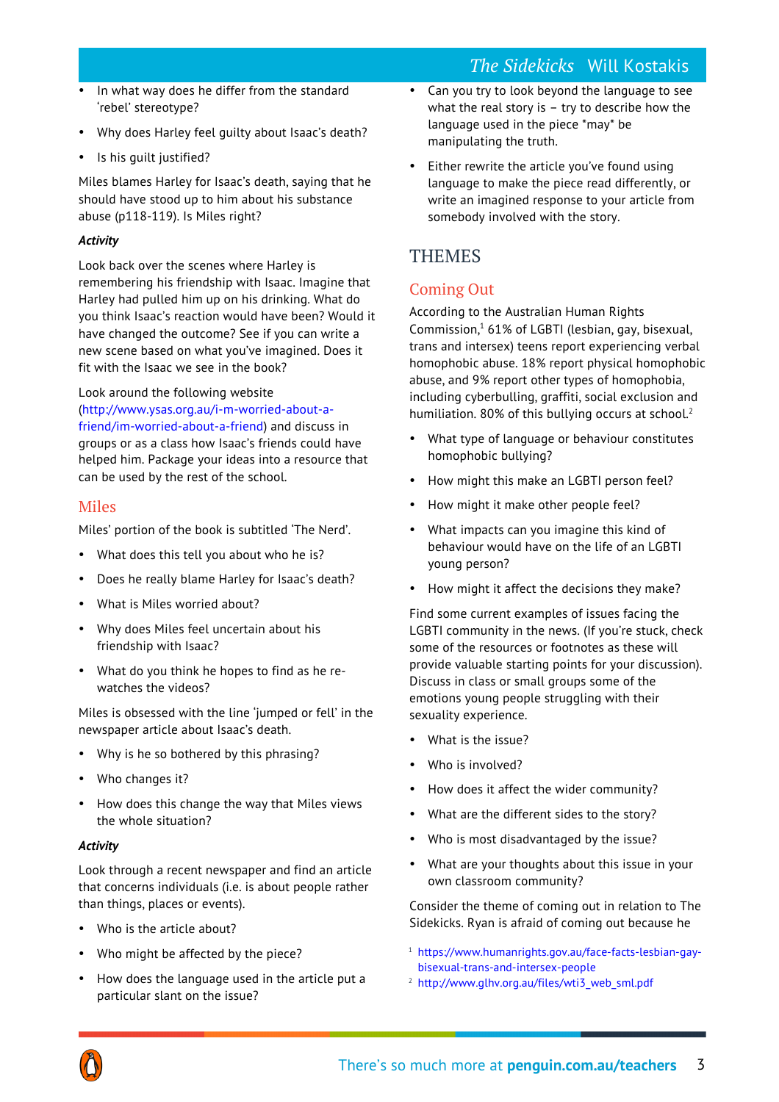- In what way does he differ from the standard 'rebel' stereotype?
- Why does Harley feel guilty about Isaac's death?
- Is his guilt justified?

Miles blames Harley for Isaac's death, saying that he should have stood up to him about his substance abuse (p118-119). Is Miles right?

### *Activity*

Look back over the scenes where Harley is remembering his friendship with Isaac. Imagine that Harley had pulled him up on his drinking. What do you think Isaac's reaction would have been? Would it have changed the outcome? See if you can write a new scene based on what you've imagined. Does it fit with the Isaac we see in the book?

#### Look around the following website

([http://www.ysas.org.au/i-m-worried-about-a](http://www.ysas.org.au/i-m-worried-about-a-friend/im-worried-about-a-friend)[friend/im-worried-about-a-friend](http://www.ysas.org.au/i-m-worried-about-a-friend/im-worried-about-a-friend)) and discuss in groups or as a class how Isaac's friends could have helped him. Package your ideas into a resource that can be used by the rest of the school.

## Miles

Miles' portion of the book is subtitled 'The Nerd'.

- What does this tell you about who he is?
- Does he really blame Harley for Isaac's death?
- What is Miles worried about?
- Why does Miles feel uncertain about his friendship with Isaac?
- What do you think he hopes to find as he rewatches the videos?

Miles is obsessed with the line 'jumped or fell' in the newspaper article about Isaac's death.

- Why is he so bothered by this phrasing?
- Who changes it?
- How does this change the way that Miles views the whole situation?

## *Activity*

Look through a recent newspaper and find an article that concerns individuals (i.e. is about people rather than things, places or events).

- Who is the article about?
- Who might be affected by the piece?
- How does the language used in the article put a particular slant on the issue?
- Can you try to look beyond the language to see what the real story is  $-$  try to describe how the language used in the piece \*may\* be manipulating the truth.
- Either rewrite the article you've found using language to make the piece read differently, or write an imagined response to your article from somebody involved with the story.

# **THEMES**

# Coming Out

According to the Australian Human Rights Commission, <sup>1</sup> 61% of LGBTI (lesbian, gay, bisexual, trans and intersex) teens report experiencing verbal homophobic abuse. 18% report physical homophobic abuse, and 9% report other types of homophobia, including cyberbulling, graffiti, social exclusion and humiliation. 80% of this bullying occurs at school.<sup>2</sup>

- What type of language or behaviour constitutes homophobic bullying?
- How might this make an LGBTI person feel?
- How might it make other people feel?
- What impacts can you imagine this kind of behaviour would have on the life of an LGBTI young person?
- How might it affect the decisions they make?

Find some current examples of issues facing the LGBTI community in the news. (If you're stuck, check some of the resources or footnotes as these will provide valuable starting points for your discussion). Discuss in class or small groups some of the emotions young people struggling with their sexuality experience.

- What is the issue?
- Who is involved?
- How does it affect the wider community?
- What are the different sides to the story?
- Who is most disadvantaged by the issue?
- What are your thoughts about this issue in your own classroom community?

Consider the theme of coming out in relation to The Sidekicks. Ryan is afraid of coming out because he

- <sup>1</sup> [https://www.humanrights.gov.au/face-facts-lesbian-gay](https://www.humanrights.gov.au/face-facts-lesbian-gay-bisexual-trans-and-intersex-people)[bisexual-trans-and-intersex-people](https://www.humanrights.gov.au/face-facts-lesbian-gay-bisexual-trans-and-intersex-people)
- <sup>2</sup> http://www.glhv.org.au/files/wti3 web sml.pdf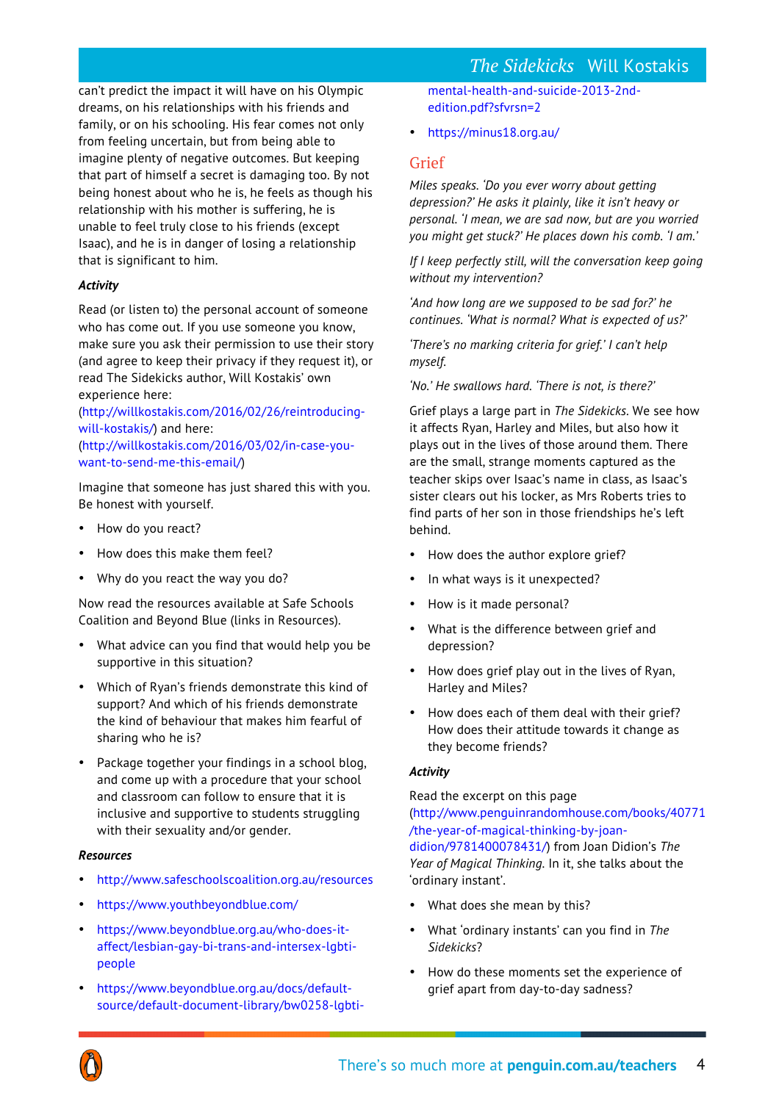# *The Sidekicks* Will Kostakis

can't predict the impact it will have on his Olympic dreams, on his relationships with his friends and family, or on his schooling. His fear comes not only from feeling uncertain, but from being able to imagine plenty of negative outcomes. But keeping that part of himself a secret is damaging too. By not being honest about who he is, he feels as though his relationship with his mother is suffering, he is unable to feel truly close to his friends (except Isaac), and he is in danger of losing a relationship that is significant to him.

### *Activity*

Read (or listen to) the personal account of someone who has come out. If you use someone you know, make sure you ask their permission to use their story (and agree to keep their privacy if they request it), or read The Sidekicks author, Will Kostakis' own experience here:

([http://willkostakis.com/2016/02/26/reintroducing](http://willkostakis.com/2016/02/26/reintroducing-will-kostakis/)[will-kostakis/](http://willkostakis.com/2016/02/26/reintroducing-will-kostakis/)) and here: ([http://willkostakis.com/2016/03/02/in-case-you](http://willkostakis.com/2016/03/02/in-case-you-want-to-send-me-this-email/)[want-to-send-me-this-email/](http://willkostakis.com/2016/03/02/in-case-you-want-to-send-me-this-email/))

Imagine that someone has just shared this with you. Be honest with yourself.

- How do you react?
- How does this make them feel?
- Why do you react the way you do?

Now read the resources available at Safe Schools Coalition and Beyond Blue (links in Resources).

- What advice can you find that would help you be supportive in this situation?
- Which of Ryan's friends demonstrate this kind of support? And which of his friends demonstrate the kind of behaviour that makes him fearful of sharing who he is?
- Package together your findings in a school blog, and come up with a procedure that your school and classroom can follow to ensure that it is inclusive and supportive to students struggling with their sexuality and/or gender.

### *Resources*

- <http://www.safeschoolscoalition.org.au/resources>
- <https://www.youthbeyondblue.com/>
- [https://www.beyondblue.org.au/who-does-it](https://www.beyondblue.org.au/who-does-it-affect/lesbian-gay-bi-trans-and-intersex-lgbti-people)[affect/lesbian-gay-bi-trans-and-intersex-lgbti](https://www.beyondblue.org.au/who-does-it-affect/lesbian-gay-bi-trans-and-intersex-lgbti-people)[people](https://www.beyondblue.org.au/who-does-it-affect/lesbian-gay-bi-trans-and-intersex-lgbti-people)
- [https://www.beyondblue.org.au/docs/default](https://www.beyondblue.org.au/docs/default-source/default-document-library/bw0258-lgbti-mental-health-and-suicide-2013-2nd-edition.pdf?sfvrsn=2)[source/default-document-library/bw0258-lgbti-](https://www.beyondblue.org.au/docs/default-source/default-document-library/bw0258-lgbti-mental-health-and-suicide-2013-2nd-edition.pdf?sfvrsn=2)

[mental-health-and-suicide-2013-2nd](https://www.beyondblue.org.au/docs/default-source/default-document-library/bw0258-lgbti-mental-health-and-suicide-2013-2nd-edition.pdf?sfvrsn=2)[edition.pdf?sfvrsn=2](https://www.beyondblue.org.au/docs/default-source/default-document-library/bw0258-lgbti-mental-health-and-suicide-2013-2nd-edition.pdf?sfvrsn=2)

• <https://minus18.org.au/>

## Grief

*Miles speaks. 'Do you ever worry about getting depression?' He asks it plainly, like it isn't heavy or personal. 'I mean, we are sad now, but are you worried you might get stuck?' He places down his comb. 'I am.'*

*If I keep perfectly still, will the conversation keep going without my intervention?*

*'And how long are we supposed to be sad for?' he continues. 'What is normal? What is expected of us?'*

*'There's no marking criteria for grief.' I can't help myself.*

*'No.' He swallows hard. 'There is not, is there?'*

Grief plays a large part in *The Sidekicks*. We see how it affects Ryan, Harley and Miles, but also how it plays out in the lives of those around them. There are the small, strange moments captured as the teacher skips over Isaac's name in class, as Isaac's sister clears out his locker, as Mrs Roberts tries to find parts of her son in those friendships he's left behind.

- How does the author explore grief?
- In what ways is it unexpected?
- How is it made personal?
- What is the difference between grief and depression?
- How does grief play out in the lives of Ryan, Harley and Miles?
- How does each of them deal with their grief? How does their attitude towards it change as they become friends?

### *Activity*

Read the excerpt on this page

([http://www.penguinrandomhouse.com/books/40771](http://www.penguinrandomhouse.com/books/40771/the-year-of-magical-thinking-by-joan-didion/9781400078431/) [/the-year-of-magical-thinking-by-joan](http://www.penguinrandomhouse.com/books/40771/the-year-of-magical-thinking-by-joan-didion/9781400078431/)[didion/9781400078431/\)](http://www.penguinrandomhouse.com/books/40771/the-year-of-magical-thinking-by-joan-didion/9781400078431/) from Joan Didion's *The Year of Magical Thinking*. In it, she talks about the 'ordinary instant'.

- What does she mean by this?
- What 'ordinary instants' can you find in *The Sidekicks*?
- How do these moments set the experience of grief apart from day-to-day sadness?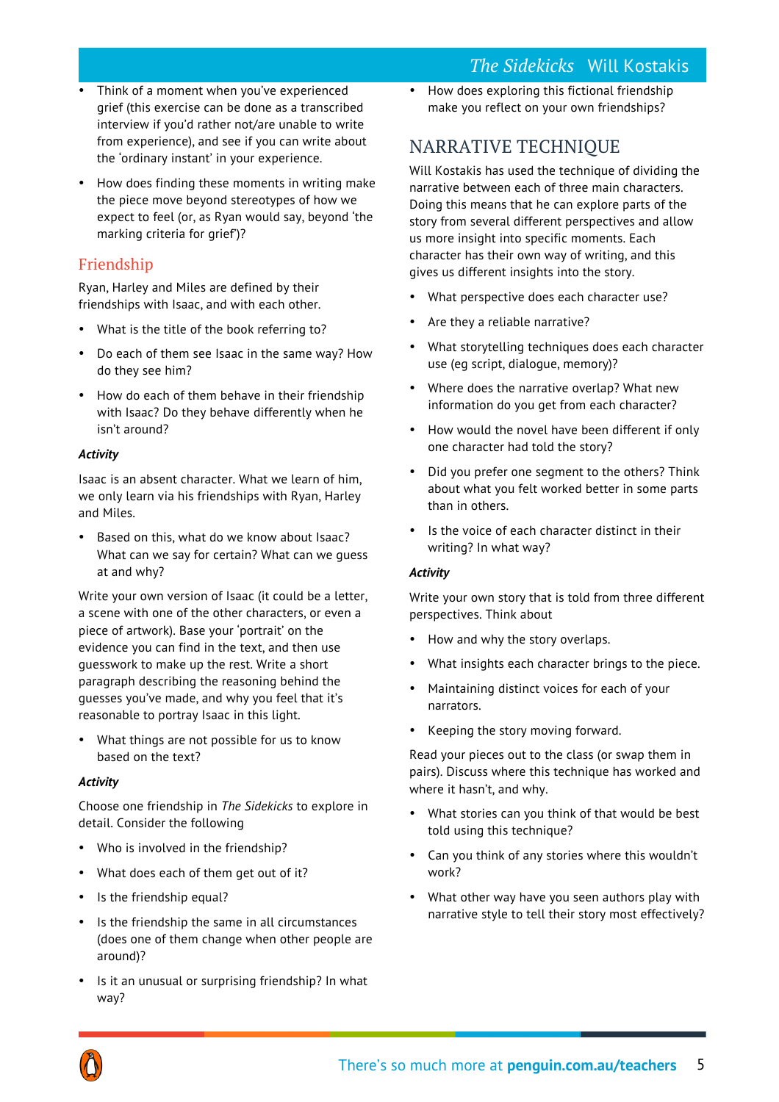# *The Sidekicks* Will Kostakis

- Think of a moment when you've experienced grief (this exercise can be done as a transcribed interview if you'd rather not/are unable to write from experience), and see if you can write about the 'ordinary instant' in your experience.
- How does finding these moments in writing make the piece move beyond stereotypes of how we expect to feel (or, as Ryan would say, beyond 'the marking criteria for grief')?

# Friendship

Ryan, Harley and Miles are defined by their friendships with Isaac, and with each other.

- What is the title of the book referring to?
- Do each of them see Isaac in the same way? How do they see him?
- How do each of them behave in their friendship with Isaac? Do they behave differently when he isn't around?

## *Activity*

Isaac is an absent character. What we learn of him, we only learn via his friendships with Ryan, Harley and Miles.

• Based on this, what do we know about Isaac? What can we say for certain? What can we guess at and why?

Write your own version of Isaac (it could be a letter, a scene with one of the other characters, or even a piece of artwork). Base your 'portrait' on the evidence you can find in the text, and then use guesswork to make up the rest. Write a short paragraph describing the reasoning behind the guesses you've made, and why you feel that it's reasonable to portray Isaac in this light.

• What things are not possible for us to know based on the text?

## *Activity*

Choose one friendship in *The Sidekicks* to explore in detail. Consider the following

- Who is involved in the friendship?
- What does each of them get out of it?
- Is the friendship equal?
- Is the friendship the same in all circumstances (does one of them change when other people are around)?
- Is it an unusual or surprising friendship? In what way?

• How does exploring this fictional friendship make you reflect on your own friendships?

# NARRATIVE TECHNIQUE

Will Kostakis has used the technique of dividing the narrative between each of three main characters. Doing this means that he can explore parts of the story from several different perspectives and allow us more insight into specific moments. Each character has their own way of writing, and this gives us different insights into the story.

- What perspective does each character use?
- Are they a reliable narrative?
- What storytelling techniques does each character use (eg script, dialogue, memory)?
- Where does the narrative overlap? What new information do you get from each character?
- How would the novel have been different if only one character had told the story?
- Did you prefer one segment to the others? Think about what you felt worked better in some parts than in others.
- Is the voice of each character distinct in their writing? In what way?

### *Activity*

Write your own story that is told from three different perspectives. Think about

- How and why the story overlaps.
- What insights each character brings to the piece.
- Maintaining distinct voices for each of your narrators.
- Keeping the story moving forward.

Read your pieces out to the class (or swap them in pairs). Discuss where this technique has worked and where it hasn't, and why.

- What stories can you think of that would be best told using this technique?
- Can you think of any stories where this wouldn't work?
- What other way have you seen authors play with narrative style to tell their story most effectively?

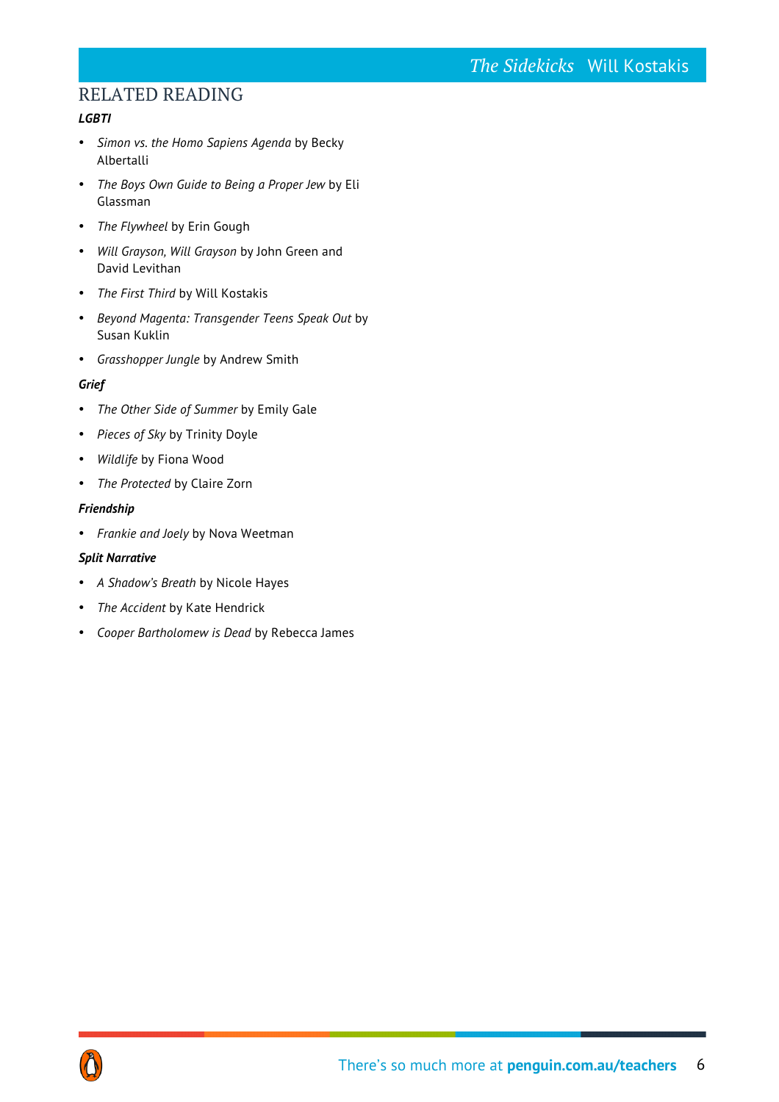# RELATED READING

## *LGBTI*

- *Simon vs. the Homo Sapiens Agenda* by Becky Albertalli
- *The Boys Own Guide to Being a Proper Jew* by Eli Glassman
- *The Flywheel* by Erin Gough
- *Will Grayson, Will Grayson* by John Green and David Levithan
- *The First Third* by Will Kostakis
- *Beyond Magenta: Transgender Teens Speak Out* by Susan Kuklin
- *Grasshopper Jungle* by Andrew Smith

## *Grief*

- *The Other Side of Summer* by Emily Gale
- *Pieces of Sky* by Trinity Doyle
- *Wildlife* by Fiona Wood
- *The Protected* by Claire Zorn

## *Friendship*

• *Frankie and Joely* by Nova Weetman

## *Split Narrative*

- *A Shadow's Breath* by Nicole Hayes
- *The Accident* by Kate Hendrick
- *Cooper Bartholomew is Dead* by Rebecca James